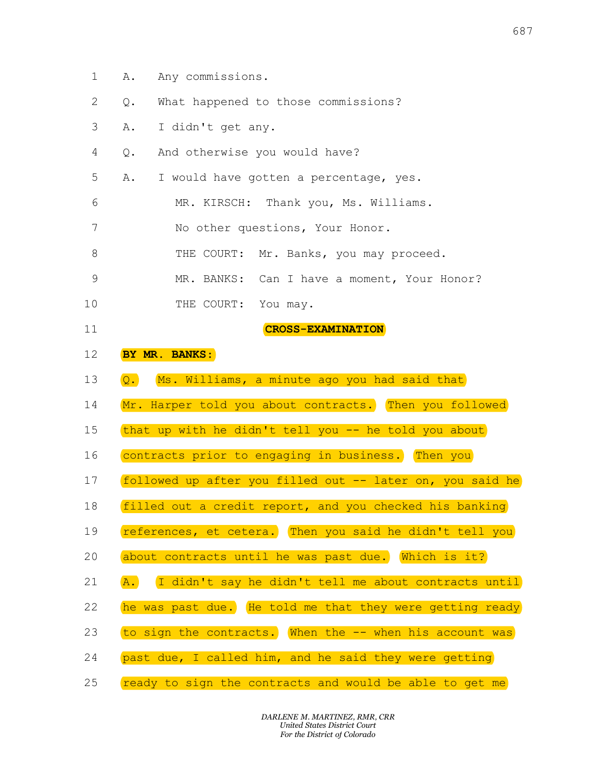- 1 A. Any commissions.
- 2 Q. What happened to those commissions?
- 3 A. I didn't get any.
- 4 Q. And otherwise you would have?
- 5 A. I would have gotten a percentage, yes. A. Any commissions.<br>
Q. What happened to those commissions?<br>
A. I didn't get any.<br>
Q. And otherwise you would have?<br>
A. I would have gotten a percentage, yes.
- 6 MR. KIRSCH: Thank you, Ms. Williams. 87<br>A. Any commissions.<br>Q. What happened to those commissions?<br>A. I didn't get any.<br>Q. And otherwise you would have?<br>A. I would have gotten a percentage, yes.<br>MR. KIRSCH: Thank you, Ms. Williams. A. Any commissions.<br>
Q. What happened to those commissions?<br>
A. I didn't get any.<br>
Q. And otherwise you would have?<br>
A. I would have gotten a percentage, yes.<br>
MR. KIRSCH: Thank you, Ms. Williams.<br>
No other questions, Your
- 7 No other questions, Your Honor.
- 8 THE COURT: Mr. Banks, you may proceed. A. Any commissions.<br>
Q. What happened to those commissions?<br>
A. I didn't get any.<br>
Q. And otherwise you would have?<br>
A. I would have gotten a percentage, yes.<br>
MR. KIRSCH: Thank you, Ms. Williams.<br>
No other questions, Your
- 9 MR. BANKS: Can I have a moment, Your Honor? 687<br>
1 commissions.<br>
idn't get any.<br>
idn't get any.<br>
1 otherwise you would have?<br>
1 would have gotten a percentage, yes.<br>
MR. KIRSCH: Thank you, Ms. Williams.<br>
No other questions, Your Honor.<br>
THE COURT: Mr. Banks, you may 687<br>
X commissions.<br>
At happened to those commissions?<br>
Addn't get any.<br>
A otherwise you would have?<br>
No other questions, Your Honor.<br>
No other questions, Your Honor.<br>
THE COURT: Mr. Banks, you may proceed.<br>
NR. BANKS: Can THE COURT: Mr. Banks, you may proceed. MR. BANKS: Can I have a moment, Your Honor? The commissions.<br>
It happened to those commissions?<br>
Iddn't get any.<br>
1 otherwise you would have?<br>
Would have gotten a percentage, yes.<br>
MR. KIRSCH: Thank you, Ms. Williams.<br>
No other questions, Your Honor.<br>
THE COURT: Mr.
- 10 THE COURT: You may.
- 11 CRO 12 BY MR. BANKS:
- 13 Q. Ms. Williams, a minute ago you had said that
- 14 Mr. Harper told you about contracts. Then you followed A. I didn't get any.<br>
Q. And otherwise you would have?<br>
A. I would have gotten a percentage, yes.<br>
MR. KIRSCH: Thank you, Ms. Williams.<br>
No other questions, Your Honor.<br>
THE COURT: Mr. Banks, you may proceed.<br>
MR. BANKS: C Q. And otherwise you would have?<br>
A. I would have gotten a percentage, yes.<br>
MR. KIRSCH: Thank you, Ms. Williams.<br>
No other questions, Your Honor.<br>
THE COURT: Mr. Banks, you may proceed.<br>
MR. BANKS: Can I have a moment, Yo

CROSS-EXAMINATION

- 15 that up with he didn't tell you -- he told you about
- 16 (contracts prior to engaging in business. Then you
- 17 followed up after you filled out -- later on, you said he A. I would have gotten a percentage, yes.<br>
MR. KIRSCH: Thank you, Ms. Williams.<br>
No other questions, Your Honor.<br>
THE COURT: Mr. Banks, you may proceed.<br>
MR. BANKS: Can I have a moment, Your Honor?<br>
THE COURT: You may.<br>
CR MR. KIRSCH: Thank you, Ms. Williams.<br>
No other questions, Your Honor.<br>
THE COURT: Mr. Banks, you may proceed.<br>
MR. BANKS: Can I have a moment, Your Honor?<br>
THE COURT: You may.<br> **CROSS-EXAMINATION**<br> **DY MR. BANKS:**<br>
Q. Ms. No other questions, Your Honor.<br>THE COURT: Mr. Banks, you may proceed.<br>MR. BANKS: Can I have a moment, Your Honor?<br>THE COURT: You may.<br>**CROSS-EXAMINATION**<br>DY MR. BANKS:<br>Q. Ms. Williams, a minute ago you had said that<br>Mr. H THE COURT: Mr. Banks, you may proceed.<br>
MR. BANKS: Can I have a moment, Your Honor?<br>
THE COURT: You may.<br> **CROSS-EXAMINATION**<br> **EX MR. BANKS:)**<br> **Q.** Ms. Williams, a minute ago you had said that<br>
Mr. Harper told you about MR. BANKS: Can I have a moment, Your Honor?<br>THE COURT: You may.<br>**CROSS-EXAMINATION**<br>**EX MR. BANKS:**<br>Q. MS. Williams, a minute ago you had said that<br>Mr. Harper told you about contracts. (Then you followed<br>that up with he di THE COURT: You may.<br> **CROSS-EXAMINATION**<br> **D.** Ms. Williams, a minute ago you had said that<br>
Mr. Harper told you about contracts. Then you followed<br>
that up with he didn't tell you -- he told you about<br>
contracts prior to **EX MR. BANKS:**<br> **Q.** Ms. Williams, a minute ago you had said that<br>
Mr. Harper told you about contracts. Then you followed<br>
that up with he didn't tell you -- he told you about<br>
contracts prior to engaging in business. The BY MR. BANKS:<br>Q. Ms. Williams, a minute ago you had said that<br>Mr. Harper told you about contracts. Then you followed<br>that up with he didn't tell you -- he told you about<br>contracts prior to engaging in business. Then you<br>fo Q.) Ms. Williams, a minute ago you had said that<br>Mr. Harper told you about contracts. Then you followed<br>that up with he didn't tell you -- he told you about<br>contracts prior to engaging in business.) Then you<br>followed up af Mr. Harper told you about contracts. Then you followed<br>that up with he didn't tell you -- he told you about<br>contracts prior to engaging in business. Then you<br>followed up after you filled out -- later on, you said he<br>filled that up with he didn't tell you -- he told you about,<br>contracts prior to engaging in business.) Then you<br>followed up after you filled out -- later on, you said he<br>filled out a credit report, and you checked his banking<br>ref contracts prior to engaging in business.) Then you<br>followed up after you filled out -- later on, you said he<br>filled out a credit report, and you checked his banking<br>references, et cetera.) Then you said he didn't tell you<br>
- 18 filled out a credit report, and you checked his banking
- 19 (references, et cetera.) Then you said he didn't tell you
- 20 about contracts until he was past due. Which is it?
- 21 (A.) I didn't say he didn't tell me about contracts until
- 22 The was past due. He told me that they were getting ready
- 23 (to sign the contracts. When the -- when his account was
- 24 past due, I called him, and he said they were getting
- 25 ready to sign the contracts and would be able to get me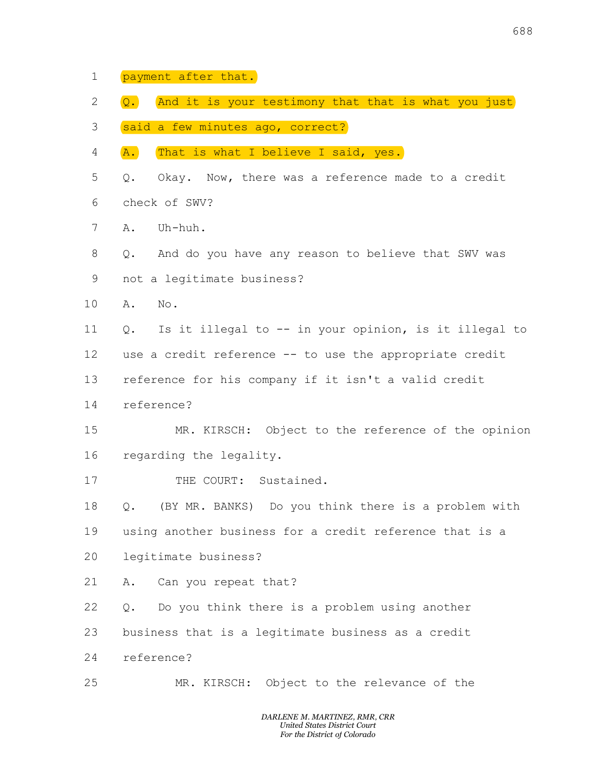- 1 payment after that.
- 2 Q. And it is your testimony that that is what you just payment after that.)<br>2.) (And it is your testimony that that is what you just)<br>said a few minutes ago, correct?)<br>A.) (That is what I believe I said, yes.)
- 3 said a few minutes ago, correct?
- 4 **A.** That is what I believe I said, yes.
- 5 Q. Okay. Now, there was a reference made to a credit 6 check of SWV? Exament after that.<br>
Q. And it is your testimony that that is what you just<br>
Said a few minutes ago, correct?<br>
A. That is what I believe I said, yes.<br>
Q. Okay. Now, there was a reference made to a credit 688<br>
payment after that.<br>
2. And it is your testimony that that is what you just<br>
said a few minutes ago, correct?<br>
A. That is what I believe I said, yes.<br>
2. Okay. Now, there was a reference made to a credit<br>
check of SWV 688<br> **Q. And it is your testimony that that is what you just**<br> **Said a few minutes ago, correct?**<br> **A. That is what I believe I said, yes.**<br>
Q. Okay. Now, there was a reference made to a credit<br>
check of SWV?<br>
A. Uh-huh. 688<br> **Q. And it is your testimony that that is what you just**<br> **said a few minutes ago, correct?**<br> **A. That is what I believe I said, yes.**<br>
Q. Okay. Now, there was a reference made to a credit<br>
check of SWV?<br>
A. Uh-huh.<br> payment after that.<br> **Q.** (And it is your testimony that that is what you jus<br>
said a few minutes ago, correct?)<br>
A. (That is what I believe I said, yes.)<br>
Q. Okay. Now, there was a reference made to a credit<br>
check of SWV 688<br> **Q.** And it is your testimony that that is what you just<br>
said a few minutes ago, correct?<br> **A.** That is what I believe I said, yes.<br>
Q. Okay. Now, there was a reference made to a credit<br>
check of SWV?<br>
A. Uh-huh.<br>
Q. payment after that.<br> **Q.** And it is your testimony that that is what you just<br>
said a few minutes ago, correct?<br> **A.** That is what I believe I said, yes.<br>
Q. Okay. Now, there was a reference made to a credit<br>
check of SWV? Q. And it is your testimony that that is what you just)<br>said a few minutes ago, correct?<br>A. That is what I believe I said, yes.<br>Q. Okay. Now, there was a reference made to a credit<br>check of SWV?<br>A. Uh-huh.<br>Q. And do you ha Said a Few minutes ago, correct?<br>
A. (That is what I believe I said, yes.)<br>
Q. Okay. Now, there was a reference made to a credit<br>
check of SWV?<br>
A. Uh-huh.<br>
Q. And do you have any reason to believe that SWV was<br>
mot a legi
- 7 A. Uh-huh.
- 8 0. And do you have any reason to believe that SWV was 9 not a legitimate business?
- 10 A. No. A. No.
- 11 Q. Is it illegal to -- in your opinion, is it illegal to
- 12 use a credit reference -- to use the appropriate credit
- 13 reference for his company if it isn't a valid credit
- 14 reference?
- 15 MR. KIRSCH: Object to the reference of the opinion 16 regarding the legality. A.) That is what I believe I said, yes.<br>
Q. Okay. Now, there was a reference made to a credit<br>
check of SWV?<br>
A. Uh-huh.<br>
Q. And do you have any reason to believe that SWV was<br>
not a legitimate business?<br>
A. No.<br>
Q. Is it F. SWV?<br>huh.<br>A do you have any reason to believe that SWV was<br>egitimate business?<br>.<br>it illegal to -- in your opinion, is it illegal to<br>redit reference -- to use the appropriate credit<br>to eef or his company if it isn't a va A. Uh-huh.<br>Q. And do you have any reason to believe that SWV was<br>not a legitimate business?<br>A. No.<br>Q. Is it illegal to -- in your opinion, is it illegal to<br>use a credit reference -- to use the appropriate credit<br>reference I do you have any reason to believe that SWV was<br>sgitimate business?<br>.<br>it illegal to -- in your opinion, is it illegal to<br>redit reference -- to use the appropriate credit<br>ce for his company if it isn't a valid credit<br>e?<br>MR not a legitimate business?<br>
A. No.<br>
Q. Is it illegal to -- in your opinion, is it illegal to<br>
use a credit reference -- to use the appropriate credit<br>
reference for his company if it isn't a valid credit<br>
reference?<br>
MR. K A. No.<br>
Q. Is it illegal to -- in your opinion, is it illegal to<br>
use a credit reference -- to use the appropriate credit<br>
reference for his company if it isn't a valid credit<br>
reference?<br>
MR. KIRSCH: Object to the referen Q. Is it illegal to -- in your opinion, is it illegal t<br>use a credit reference -- to use the appropriate credit<br>reference for his company if it isn't a valid credit<br>reference?<br>MR. KIRSCH: Object to the reference of the opi use a credit reference -- to use the appropriate credit<br>reference for his company if it isn't a valid credit<br>reference?<br>MR. KIRSCH: Object to the reference of the opinion<br>regarding the legality.<br>THE COURT: Sustained.<br>Q. (B reference for his company if it isn't a valid credit<br>reference?<br>MR. KIRSCH: Object to the reference of the opinion<br>regarding the legality.<br>THE COURT: Sustained.<br>Q. (BY MR. BANKS) Do you think there is a problem with<br>using reference?<br>
MR. KIRSCH: Object to the reference of the opinion<br>
regarding the legality.<br>
THE COURT: Sustained.<br>
Q. (BY MR. BANKS) Do you think there is a problem with<br>
using another business?<br>
A. Can you repeat that?<br>
Q. D
- 17 THE COURT: Sustained.
- 18 Q. (BY MR. BANKS) Do you think there is a problem with THE COURT: Sustained.<br>
THE COURT: Sustained.<br>
IMR. BANKS) Do you think there is a problem with<br>
nother business?<br>
1 you repeat that?<br>
you think there is a problem using another<br>
sthat is a legitimate business as a credit<br>
- 19 using another business for a credit reference that is a
- 20 legitimate business?
- 21 A. Can you repeat that?
- 22 Q. Do you think there is a problem using another
- 23 business that is a legitimate business as a credit
- 24 reference?
- 25 MR. KIRSCH: Object to the relevance of the

DARLENE M. MARTINEZ, RMR, CRR United States District Court For the District of Colorado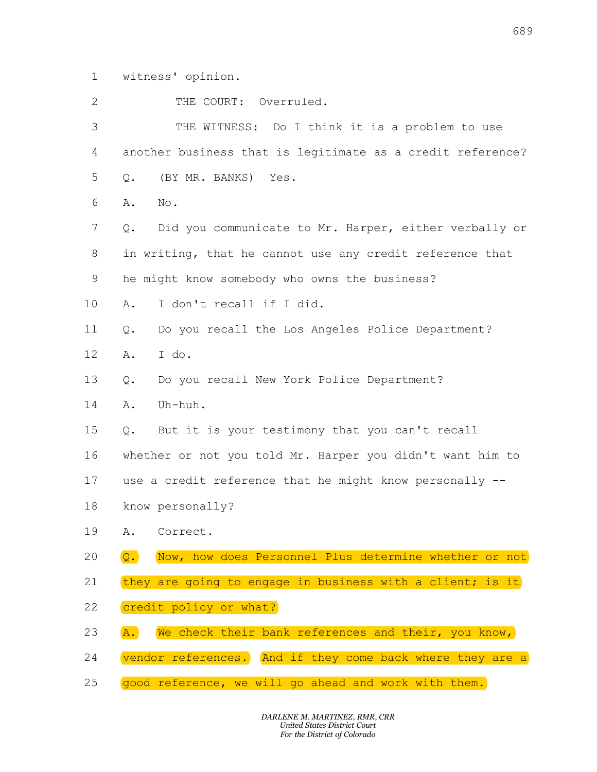| 1                         | witness' opinion.                                                         |
|---------------------------|---------------------------------------------------------------------------|
| $\mathbf{2}^{\mathsf{I}}$ | THE COURT: Overruled.                                                     |
| 3                         | THE WITNESS: Do I think it is a problem to use                            |
| 4                         | another business that is legitimate as a credit reference?                |
| 5                         | $Q$ .<br>(BY MR. BANKS) Yes.                                              |
| 6                         | Α.<br>No.                                                                 |
| 7                         | $Q$ .<br>Did you communicate to Mr. Harper, either verbally or            |
| 8                         | in writing, that he cannot use any credit reference that                  |
| 9                         | he might know somebody who owns the business?                             |
| 10                        | I don't recall if I did.<br>Α.                                            |
| 11                        | Do you recall the Los Angeles Police Department?<br>$Q$ .                 |
| 12                        | I do.<br>Α.                                                               |
| 13                        | Do you recall New York Police Department?<br>$Q$ .                        |
| 14                        | Α.<br>Uh-huh.                                                             |
| 15                        | But it is your testimony that you can't recall<br>$Q$ .                   |
| 16                        | whether or not you told Mr. Harper you didn't want him to                 |
| 17                        | use a credit reference that he might know personally --                   |
| 18                        | know personally?                                                          |
| 19                        | Correct.<br>Α.                                                            |
| 20                        | $\overline{Q}$ .<br>Now, how does Personnel Plus determine whether or not |
| 21                        | they are going to engage in business with a client; is it                 |
| 22                        | credit policy or what?                                                    |
| 23                        | We check their bank references and their, you know,<br>A.                 |
| 24                        | vendor references. And if they come back where they are a                 |
| 25                        | good reference, we will go ahead and work with them.                      |